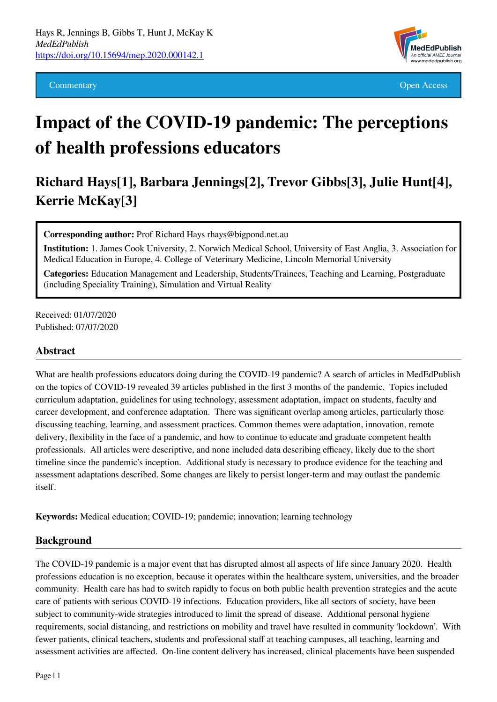

**Commentary Commentary Commentary Commentary Commentary Commentary Commentary Commentary Commentary Commentary** 

# **Impact of the COVID-19 pandemic: The perceptions of health professions educators**

## **Richard Hays[1], Barbara Jennings[2], Trevor Gibbs[3], Julie Hunt[4], Kerrie McKay[3]**

**Corresponding author:** Prof Richard Hays rhays@bigpond.net.au

**Institution:** 1. James Cook University, 2. Norwich Medical School, University of East Anglia, 3. Association for Medical Education in Europe, 4. College of Veterinary Medicine, Lincoln Memorial University

**Categories:** Education Management and Leadership, Students/Trainees, Teaching and Learning, Postgraduate (including Speciality Training), Simulation and Virtual Reality

Received: 01/07/2020 Published: 07/07/2020

#### **Abstract**

What are health professions educators doing during the COVID-19 pandemic? A search of articles in MedEdPublish on the topics of COVID-19 revealed 39 articles published in the first 3 months of the pandemic. Topics included curriculum adaptation, guidelines for using technology, assessment adaptation, impact on students, faculty and career development, and conference adaptation. There was significant overlap among articles, particularly those discussing teaching, learning, and assessment practices. Common themes were adaptation, innovation, remote delivery, flexibility in the face of a pandemic, and how to continue to educate and graduate competent health professionals. All articles were descriptive, and none included data describing efficacy, likely due to the short timeline since the pandemic's inception. Additional study is necessary to produce evidence for the teaching and assessment adaptations described. Some changes are likely to persist longer-term and may outlast the pandemic itself.

**Keywords:** Medical education; COVID-19; pandemic; innovation; learning technology

#### **Background**

The COVID-19 pandemic is a major event that has disrupted almost all aspects of life since January 2020. Health professions education is no exception, because it operates within the healthcare system, universities, and the broader community. Health care has had to switch rapidly to focus on both public health prevention strategies and the acute care of patients with serious COVID-19 infections. Education providers, like all sectors of society, have been subject to community-wide strategies introduced to limit the spread of disease. Additional personal hygiene requirements, social distancing, and restrictions on mobility and travel have resulted in community 'lockdown'. With fewer patients, clinical teachers, students and professional staff at teaching campuses, all teaching, learning and assessment activities are affected. On-line content delivery has increased, clinical placements have been suspended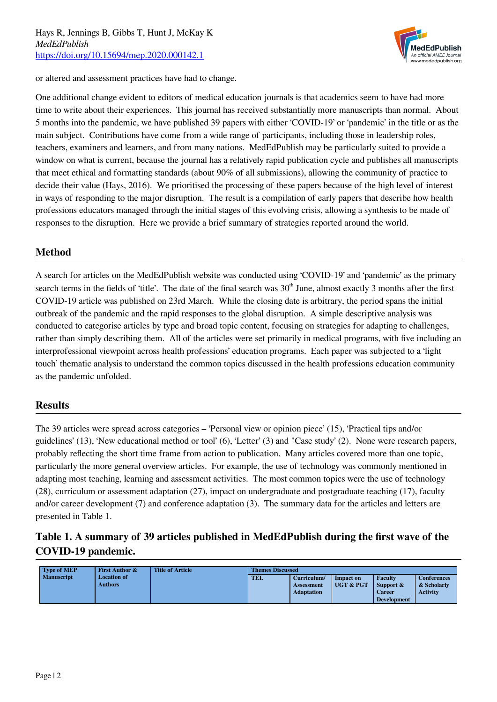

or altered and assessment practices have had to change.

One additional change evident to editors of medical education journals is that academics seem to have had more time to write about their experiences. This journal has received substantially more manuscripts than normal. About 5 months into the pandemic, we have published 39 papers with either 'COVID-19' or 'pandemic' in the title or as the main subject. Contributions have come from a wide range of participants, including those in leadership roles, teachers, examiners and learners, and from many nations. MedEdPublish may be particularly suited to provide a window on what is current, because the journal has a relatively rapid publication cycle and publishes all manuscripts that meet ethical and formatting standards (about 90% of all submissions), allowing the community of practice to decide their value (Hays, 2016). We prioritised the processing of these papers because of the high level of interest in ways of responding to the major disruption. The result is a compilation of early papers that describe how health professions educators managed through the initial stages of this evolving crisis, allowing a synthesis to be made of responses to the disruption. Here we provide a brief summary of strategies reported around the world.

#### **Method**

A search for articles on the MedEdPublish website was conducted using 'COVID-19' and 'pandemic' as the primary search terms in the fields of 'title'. The date of the final search was  $30<sup>th</sup>$  June, almost exactly 3 months after the first COVID-19 article was published on 23rd March. While the closing date is arbitrary, the period spans the initial outbreak of the pandemic and the rapid responses to the global disruption. A simple descriptive analysis was conducted to categorise articles by type and broad topic content, focusing on strategies for adapting to challenges, rather than simply describing them. All of the articles were set primarily in medical programs, with five including an interprofessional viewpoint across health professions' education programs. Each paper was subjected to a 'light touch' thematic analysis to understand the common topics discussed in the health professions education community as the pandemic unfolded.

#### **Results**

The 39 articles were spread across categories – 'Personal view or opinion piece' (15), 'Practical tips and/or guidelines' (13), 'New educational method or tool' (6), 'Letter' (3) and "Case study' (2). None were research papers, probably reflecting the short time frame from action to publication. Many articles covered more than one topic, particularly the more general overview articles. For example, the use of technology was commonly mentioned in adapting most teaching, learning and assessment activities. The most common topics were the use of technology (28), curriculum or assessment adaptation (27), impact on undergraduate and postgraduate teaching (17), faculty and/or career development (7) and conference adaptation (3). The summary data for the articles and letters are presented in Table 1.

### **Table 1. A summary of 39 articles published in MedEdPublish during the first wave of the COVID-19 pandemic.**

| <b>Type of MEP</b> | <b>First Author &amp;</b>            | <b>Title of Article</b> | <b>Themes Discussed</b> |                                                |                                          |                                                             |                                                      |  |
|--------------------|--------------------------------------|-------------------------|-------------------------|------------------------------------------------|------------------------------------------|-------------------------------------------------------------|------------------------------------------------------|--|
| <b>Manuscript</b>  | <b>Location of</b><br><b>Authors</b> |                         | <b>TEL</b>              | Curriculum/<br>Assessment<br><b>Adaptation</b> | <b>Impact on</b><br><b>UGT &amp; PGT</b> | <b>Faculty</b><br>Support &<br>Career<br><b>Development</b> | <b>Conferences</b><br>& Scholarly<br><b>Activity</b> |  |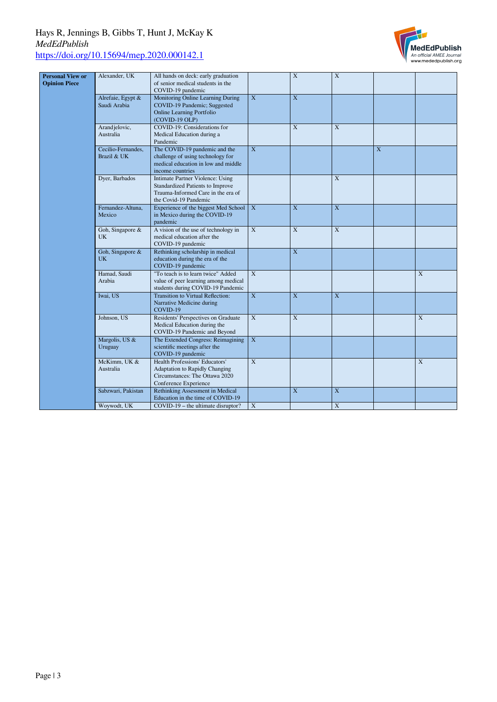

| <b>Personal View or</b> | Alexander, UK      | All hands on deck: early graduation                                |                         | $\mathbf X$             | $\mathbf X$             |   |   |
|-------------------------|--------------------|--------------------------------------------------------------------|-------------------------|-------------------------|-------------------------|---|---|
| <b>Opinion Piece</b>    |                    | of senior medical students in the                                  |                         |                         |                         |   |   |
|                         |                    | COVID-19 pandemic                                                  |                         |                         |                         |   |   |
|                         | Alrefaie, Egypt &  | Monitoring Online Learning During                                  | X                       | $\overline{X}$          |                         |   |   |
|                         | Saudi Arabia       | COVID-19 Pandemic; Suggested                                       |                         |                         |                         |   |   |
|                         |                    | <b>Online Learning Portfolio</b>                                   |                         |                         |                         |   |   |
|                         |                    | (COVID-19 OLP)                                                     |                         |                         |                         |   |   |
|                         | Arandjelovic,      | COVID-19: Considerations for                                       |                         | $\overline{\mathbf{X}}$ | X                       |   |   |
|                         | Australia          | Medical Education during a                                         |                         |                         |                         |   |   |
|                         |                    | Pandemic                                                           |                         |                         |                         |   |   |
|                         | Cecilio-Fernandes, | The COVID-19 pandemic and the                                      | $\overline{\mathbf{X}}$ |                         |                         | X |   |
|                         | Brazil & UK        | challenge of using technology for                                  |                         |                         |                         |   |   |
|                         |                    | medical education in low and middle                                |                         |                         |                         |   |   |
|                         |                    | income countries                                                   |                         |                         |                         |   |   |
|                         | Dyer, Barbados     | Intimate Partner Violence: Using                                   |                         |                         | X                       |   |   |
|                         |                    | Standardized Patients to Improve                                   |                         |                         |                         |   |   |
|                         |                    | Trauma-Informed Care in the era of                                 |                         |                         |                         |   |   |
|                         |                    | the Covid-19 Pandemic                                              |                         |                         |                         |   |   |
|                         | Fernandez-Altuna,  | Experience of the biggest Med School                               | X                       | X                       | X                       |   |   |
|                         | Mexico             | in Mexico during the COVID-19                                      |                         |                         |                         |   |   |
|                         |                    | pandemic                                                           |                         |                         |                         |   |   |
|                         | Goh, Singapore &   | A vision of the use of technology in                               | $\mathbf X$             | $\overline{\textbf{X}}$ | $\mathbf X$             |   |   |
|                         | <b>UK</b>          | medical education after the                                        |                         |                         |                         |   |   |
|                         |                    | COVID-19 pandemic                                                  |                         |                         |                         |   |   |
|                         | Goh, Singapore &   | Rethinking scholarship in medical                                  |                         | $\overline{\mathbf{X}}$ |                         |   |   |
|                         | <b>UK</b>          | education during the era of the                                    |                         |                         |                         |   |   |
|                         |                    | COVID-19 pandemic                                                  |                         |                         |                         |   |   |
|                         | Hamad, Saudi       | "To teach is to learn twice" Added                                 | X                       |                         |                         |   | X |
|                         | Arabia             | value of peer learning among medical                               |                         |                         |                         |   |   |
|                         |                    | students during COVID-19 Pandemic                                  |                         |                         |                         |   |   |
|                         | Iwai, US           | Transition to Virtual Reflection:                                  | $\mathbf X$             | $\mathbf X$             | $\mathbf X$             |   |   |
|                         |                    |                                                                    |                         |                         |                         |   |   |
|                         |                    | Narrative Medicine during<br>COVID-19                              |                         |                         |                         |   |   |
|                         | Johnson, US        | Residents' Perspectives on Graduate                                | X                       | $\mathbf X$             |                         |   | X |
|                         |                    | Medical Education during the                                       |                         |                         |                         |   |   |
|                         |                    |                                                                    |                         |                         |                         |   |   |
|                         | Margolis, US &     | COVID-19 Pandemic and Beyond<br>The Extended Congress: Reimagining | X                       |                         |                         |   |   |
|                         |                    |                                                                    |                         |                         |                         |   |   |
|                         | Uruguay            | scientific meetings after the                                      |                         |                         |                         |   |   |
|                         |                    | COVID-19 pandemic                                                  |                         |                         |                         |   |   |
|                         | McKimm, UK &       | Health Professions' Educators'                                     | $\overline{\mathbf{X}}$ |                         |                         |   | X |
|                         | Australia          | Adaptation to Rapidly Changing                                     |                         |                         |                         |   |   |
|                         |                    | Circumstances: The Ottawa 2020                                     |                         |                         |                         |   |   |
|                         |                    | Conference Experience                                              |                         |                         |                         |   |   |
|                         | Sabzwari, Pakistan | Rethinking Assessment in Medical                                   |                         | $\overline{X}$          | $\overline{\mathbf{X}}$ |   |   |
|                         |                    | Education in the time of COVID-19                                  |                         |                         |                         |   |   |
|                         | Woywodt, UK        | COVID-19 – the ultimate disruptor?                                 | X                       |                         | $\overline{X}$          |   |   |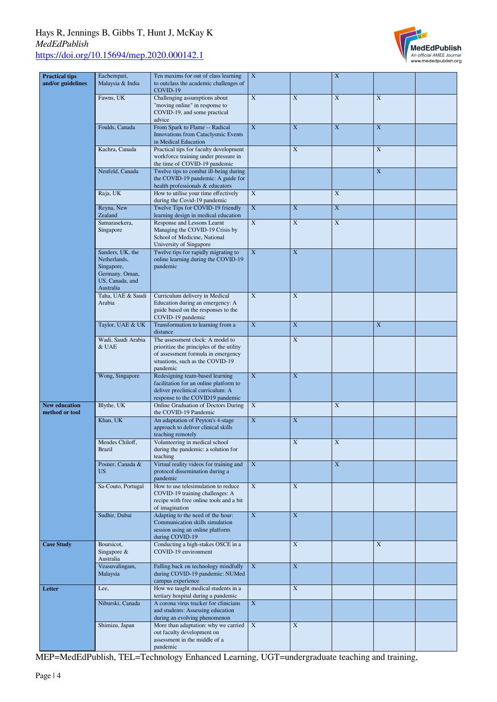

| <b>Practical tips</b><br>and/or guidelines | Eachempati,<br>Malaysia & India                                                                  | Ten maxims for out of class learning<br>to outclass the academic challenges of<br>COVID-19                                                                         | $\mathbf X$ |                         | $\mathbf X$ |             |  |
|--------------------------------------------|--------------------------------------------------------------------------------------------------|--------------------------------------------------------------------------------------------------------------------------------------------------------------------|-------------|-------------------------|-------------|-------------|--|
|                                            | Fawns, UK                                                                                        | Challenging assumptions about<br>"moving online" in response to<br>COVID-19, and some practical<br>advice                                                          | $\mathbf X$ | $\mathbf X$             | $\mathbf X$ | $\mathbf X$ |  |
|                                            | Foulds, Canada                                                                                   | From Spark to Flame -- Radical<br><b>Innovations from Cataclysmic Events</b><br>in Medical Education                                                               | $\mathbf X$ | X                       | $\mathbf X$ | X           |  |
|                                            | Kachra, Canada                                                                                   | Practical tips for faculty development<br>workforce training under pressure in<br>the time of COVID-19 pandemic                                                    |             | X                       |             | X           |  |
|                                            | Neufeld, Canada                                                                                  | Twelve tips to combat ill-being during<br>the COVID-19 pandemic: A guide for<br>health professionals & educators                                                   |             |                         |             | $\mathbf X$ |  |
|                                            | Raja, UK                                                                                         | How to utilise your time effectively<br>during the Covid-19 pandemic                                                                                               | $\mathbf X$ |                         | $\mathbf X$ |             |  |
|                                            | Reyna, New<br>Zealand                                                                            | Twelve Tips for COVID-19 friendly<br>learning design in medical education                                                                                          | $\mathbf X$ | $\mathbf X$             | $\mathbf X$ |             |  |
|                                            | Samarasekera,<br>Singapore                                                                       | Response and Lessons Learnt<br>Managing the COVID-19 Crisis by<br>School of Medicine, National<br>University of Singapore                                          | $\mathbf X$ | $\mathbf X$             | $\mathbf X$ |             |  |
|                                            | Sanders, UK, the<br>Netherlands,<br>Singapore,<br>Germany, Oman,<br>US, Canada, and<br>Australia | Twelve tips for rapidly migrating to<br>online learning during the COVID-19<br>pandemic                                                                            | $\mathbf X$ | X                       |             |             |  |
|                                            | Taha, UAE & Saudi<br>Arabia                                                                      | Curriculum delivery in Medical<br>Education during an emergency: A<br>guide based on the responses to the<br>COVID-19 pandemic                                     | $\mathbf X$ | $\mathbf X$             |             |             |  |
|                                            | Taylor, UAE & UK                                                                                 | Transformation to learning from a<br>distance                                                                                                                      | $\mathbf X$ | X                       |             | X           |  |
|                                            | Wadi, Saudi Arabia<br>& UAE                                                                      | The assessment clock: A model to<br>prioritize the principles of the utility<br>of assessment formula in emergency<br>situations, such as the COVID-19<br>pandemic |             | $\mathbf X$             |             |             |  |
|                                            | Wong, Singapore                                                                                  | Redesigning team-based learning<br>facilitation for an online platform to<br>deliver preclinical curriculum: A<br>response to the COVID19 pandemic                 | $\mathbf X$ | $\mathbf X$             |             |             |  |
| <b>New education</b><br>method or tool     | Blythe, UK                                                                                       | Online Graduation of Doctors During<br>the COVID-19 Pandemic                                                                                                       | $\mathbf X$ |                         | $\mathbf X$ |             |  |
|                                            | Khan, UK                                                                                         | An adaptation of Peyton's 4-stage<br>approach to deliver clinical skills<br>teaching remotely                                                                      | $\mathbf X$ | X                       |             |             |  |
|                                            | Mendes Chiloff.<br>Brazil                                                                        | Volunteering in medical school<br>during the pandemic: a solution for<br>teaching                                                                                  |             | $\mathbf X$             | X           |             |  |
|                                            | Posner, Canada &<br><b>US</b>                                                                    | Virtual reality videos for training and<br>protocol dissemination during a<br>pandemic                                                                             | $\mathbf X$ |                         | $\mathbf X$ |             |  |
|                                            | Sa-Couto, Portugal                                                                               | How to use telesimulation to reduce<br>COVID-19 training challenges: A<br>recipe with free online tools and a bit<br>of imagination                                | $\mathbf X$ | $\mathbf X$             |             |             |  |
|                                            | Sudhir, Dubai                                                                                    | Adapting to the need of the hour:<br>Communication skills simulation<br>session using an online platform<br>during COVID-19                                        | $\mathbf X$ | X                       |             |             |  |
| <b>Case Study</b>                          | Boursicot,<br>Singapore $\&$<br>Australia                                                        | Conducting a high-stakes OSCE in a<br>COVID-19 environment                                                                                                         |             | X                       |             | X           |  |
|                                            | Veasuvalingam,<br>Malaysia                                                                       | Falling back on technology mindfully<br>during COVID-19 pandemic: NUMed<br>campus experience                                                                       | $\mathbf X$ | X                       |             |             |  |
| Letter                                     | Lee,                                                                                             | How we taught medical students in a<br>tertiary hospital during a pandemic                                                                                         |             | $\overline{\mathbf{X}}$ |             |             |  |
|                                            | Niburski, Canada                                                                                 | A corona virus tracker for clinicians<br>and students: Assessing education<br>during an evolving phenomenon                                                        | $\mathbf X$ |                         |             |             |  |
|                                            | Shimizu, Japan                                                                                   | More than adaptation: why we carried<br>out faculty development on<br>assessment in the middle of a<br>pandemic                                                    | X           | X                       |             |             |  |

MEP=MedEdPublish, TEL=Technology Enhanced Learning, UGT=undergraduate teaching and training,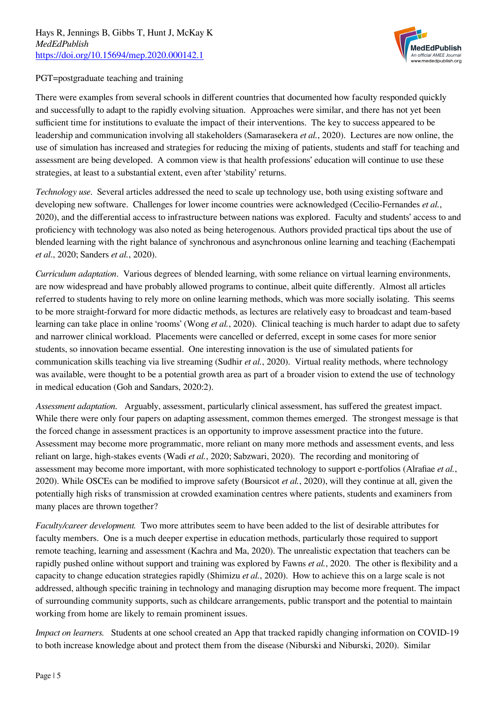

#### PGT=postgraduate teaching and training

There were examples from several schools in different countries that documented how faculty responded quickly and successfully to adapt to the rapidly evolving situation. Approaches were similar, and there has not yet been sufficient time for institutions to evaluate the impact of their interventions. The key to success appeared to be leadership and communication involving all stakeholders (Samarasekera *et al.*, 2020). Lectures are now online, the use of simulation has increased and strategies for reducing the mixing of patients, students and staff for teaching and assessment are being developed. A common view is that health professions' education will continue to use these strategies, at least to a substantial extent, even after 'stability' returns.

*Technology use*. Several articles addressed the need to scale up technology use, both using existing software and developing new software. Challenges for lower income countries were acknowledged (Cecilio-Fernandes *et al.*, 2020), and the differential access to infrastructure between nations was explored. Faculty and students' access to and proficiency with technology was also noted as being heterogenous. Authors provided practical tips about the use of blended learning with the right balance of synchronous and asynchronous online learning and teaching (Eachempati *et al*., 2020; Sanders *et al.*, 2020).

*Curriculum adaptation*. Various degrees of blended learning, with some reliance on virtual learning environments, are now widespread and have probably allowed programs to continue, albeit quite differently. Almost all articles referred to students having to rely more on online learning methods, which was more socially isolating. This seems to be more straight-forward for more didactic methods, as lectures are relatively easy to broadcast and team-based learning can take place in online 'rooms' (Wong *et al.*, 2020). Clinical teaching is much harder to adapt due to safety and narrower clinical workload. Placements were cancelled or deferred, except in some cases for more senior students, so innovation became essential. One interesting innovation is the use of simulated patients for communication skills teaching via live streaming (Sudhir *et al.*, 2020). Virtual reality methods, where technology was available, were thought to be a potential growth area as part of a broader vision to extend the use of technology in medical education (Goh and Sandars, 2020:2).

*Assessment adaptation.* Arguably, assessment, particularly clinical assessment, has suffered the greatest impact. While there were only four papers on adapting assessment, common themes emerged. The strongest message is that the forced change in assessment practices is an opportunity to improve assessment practice into the future. Assessment may become more programmatic, more reliant on many more methods and assessment events, and less reliant on large, high-stakes events (Wadi *et al.*, 2020; Sabzwari, 2020). The recording and monitoring of assessment may become more important, with more sophisticated technology to support e-portfolios (Alrafiae *et al.*, 2020). While OSCEs can be modified to improve safety (Boursicot *et al.*, 2020), will they continue at all, given the potentially high risks of transmission at crowded examination centres where patients, students and examiners from many places are thrown together?

*Faculty/career development.* Two more attributes seem to have been added to the list of desirable attributes for faculty members. One is a much deeper expertise in education methods, particularly those required to support remote teaching, learning and assessment (Kachra and Ma, 2020). The unrealistic expectation that teachers can be rapidly pushed online without support and training was explored by Fawns *et al.*, 2020. The other is flexibility and a capacity to change education strategies rapidly (Shimizu *et al.*, 2020). How to achieve this on a large scale is not addressed, although specific training in technology and managing disruption may become more frequent. The impact of surrounding community supports, such as childcare arrangements, public transport and the potential to maintain working from home are likely to remain prominent issues.

*Impact on learners.* Students at one school created an App that tracked rapidly changing information on COVID-19 to both increase knowledge about and protect them from the disease (Niburski and Niburski, 2020). Similar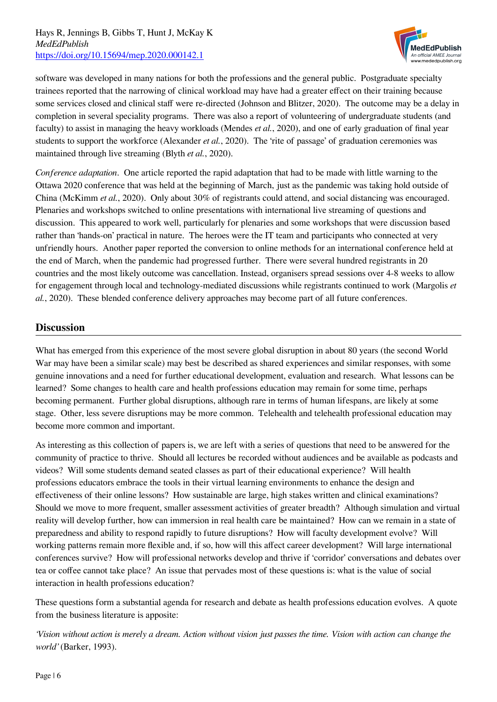

software was developed in many nations for both the professions and the general public. Postgraduate specialty trainees reported that the narrowing of clinical workload may have had a greater effect on their training because some services closed and clinical staff were re-directed (Johnson and Blitzer, 2020). The outcome may be a delay in completion in several speciality programs. There was also a report of volunteering of undergraduate students (and faculty) to assist in managing the heavy workloads (Mendes *et al.*, 2020), and one of early graduation of final year students to support the workforce (Alexander *et al.*, 2020). The 'rite of passage' of graduation ceremonies was maintained through live streaming (Blyth *et al.*, 2020).

*Conference adaptation*. One article reported the rapid adaptation that had to be made with little warning to the Ottawa 2020 conference that was held at the beginning of March, just as the pandemic was taking hold outside of China (McKimm *et al.*, 2020). Only about 30% of registrants could attend, and social distancing was encouraged. Plenaries and workshops switched to online presentations with international live streaming of questions and discussion. This appeared to work well, particularly for plenaries and some workshops that were discussion based rather than 'hands-on' practical in nature. The heroes were the IT team and participants who connected at very unfriendly hours. Another paper reported the conversion to online methods for an international conference held at the end of March, when the pandemic had progressed further. There were several hundred registrants in 20 countries and the most likely outcome was cancellation. Instead, organisers spread sessions over 4-8 weeks to allow for engagement through local and technology-mediated discussions while registrants continued to work (Margolis *et al.*, 2020). These blended conference delivery approaches may become part of all future conferences.

#### **Discussion**

What has emerged from this experience of the most severe global disruption in about 80 years (the second World War may have been a similar scale) may best be described as shared experiences and similar responses, with some genuine innovations and a need for further educational development, evaluation and research. What lessons can be learned? Some changes to health care and health professions education may remain for some time, perhaps becoming permanent. Further global disruptions, although rare in terms of human lifespans, are likely at some stage. Other, less severe disruptions may be more common. Telehealth and telehealth professional education may become more common and important.

As interesting as this collection of papers is, we are left with a series of questions that need to be answered for the community of practice to thrive. Should all lectures be recorded without audiences and be available as podcasts and videos? Will some students demand seated classes as part of their educational experience? Will health professions educators embrace the tools in their virtual learning environments to enhance the design and effectiveness of their online lessons? How sustainable are large, high stakes written and clinical examinations? Should we move to more frequent, smaller assessment activities of greater breadth? Although simulation and virtual reality will develop further, how can immersion in real health care be maintained? How can we remain in a state of preparedness and ability to respond rapidly to future disruptions? How will faculty development evolve? Will working patterns remain more flexible and, if so, how will this affect career development? Will large international conferences survive? How will professional networks develop and thrive if 'corridor' conversations and debates over tea or coffee cannot take place? An issue that pervades most of these questions is: what is the value of social interaction in health professions education?

These questions form a substantial agenda for research and debate as health professions education evolves. A quote from the business literature is apposite:

*'Vision without action is merely a dream. Action without vision just passes the time. Vision with action can change the world'* (Barker, 1993).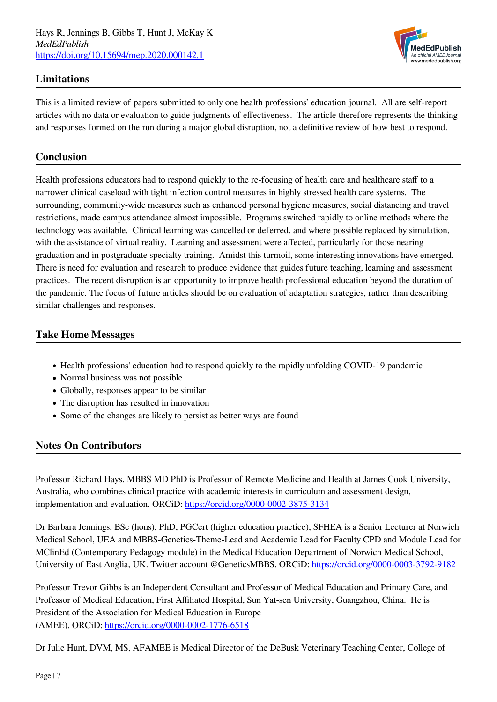

#### **Limitations**

This is a limited review of papers submitted to only one health professions' education journal. All are self-report articles with no data or evaluation to guide judgments of effectiveness. The article therefore represents the thinking and responses formed on the run during a major global disruption, not a definitive review of how best to respond.

#### **Conclusion**

Health professions educators had to respond quickly to the re-focusing of health care and healthcare staff to a narrower clinical caseload with tight infection control measures in highly stressed health care systems. The surrounding, community-wide measures such as enhanced personal hygiene measures, social distancing and travel restrictions, made campus attendance almost impossible. Programs switched rapidly to online methods where the technology was available. Clinical learning was cancelled or deferred, and where possible replaced by simulation, with the assistance of virtual reality. Learning and assessment were affected, particularly for those nearing graduation and in postgraduate specialty training. Amidst this turmoil, some interesting innovations have emerged. There is need for evaluation and research to produce evidence that guides future teaching, learning and assessment practices. The recent disruption is an opportunity to improve health professional education beyond the duration of the pandemic. The focus of future articles should be on evaluation of adaptation strategies, rather than describing similar challenges and responses.

#### **Take Home Messages**

- Health professions' education had to respond quickly to the rapidly unfolding COVID-19 pandemic
- Normal business was not possible
- Globally, responses appear to be similar
- The disruption has resulted in innovation
- Some of the changes are likely to persist as better ways are found

#### **Notes On Contributors**

Professor Richard Hays, MBBS MD PhD is Professor of Remote Medicine and Health at James Cook University, Australia, who combines clinical practice with academic interests in curriculum and assessment design, implementation and evaluation. ORCiD: <https://orcid.org/0000-0002-3875-3134>

Dr Barbara Jennings, BSc (hons), PhD, PGCert (higher education practice), SFHEA is a Senior Lecturer at Norwich Medical School, UEA and MBBS-Genetics-Theme-Lead and Academic Lead for Faculty CPD and Module Lead for MClinEd (Contemporary Pedagogy module) in the Medical Education Department of Norwich Medical School, University of East Anglia, UK. Twitter account @GeneticsMBBS. ORCiD: <https://orcid.org/0000-0003-3792-9182>

Professor Trevor Gibbs is an Independent Consultant and Professor of Medical Education and Primary Care, and Professor of Medical Education, First Affiliated Hospital, Sun Yat-sen University, Guangzhou, China. He is President of the Association for Medical Education in Europe (AMEE). ORCiD: <https://orcid.org/0000-0002-1776-6518>

Dr Julie Hunt, DVM, MS, AFAMEE is Medical Director of the DeBusk Veterinary Teaching Center, College of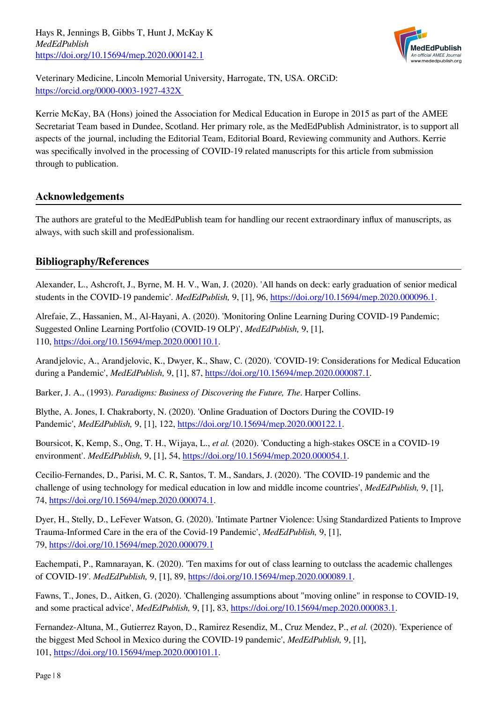

Veterinary Medicine, Lincoln Memorial University, Harrogate, TN, USA. ORCiD: <https://orcid.org/0000-0003-1927-432X>

Kerrie McKay, BA (Hons) joined the Association for Medical Education in Europe in 2015 as part of the AMEE Secretariat Team based in Dundee, Scotland. Her primary role, as the MedEdPublish Administrator, is to support all aspects of the journal, including the Editorial Team, Editorial Board, Reviewing community and Authors. Kerrie was specifically involved in the processing of COVID-19 related manuscripts for this article from submission through to publication.

#### **Acknowledgements**

The authors are grateful to the MedEdPublish team for handling our recent extraordinary influx of manuscripts, as always, with such skill and professionalism.

#### **Bibliography/References**

Alexander, L., Ashcroft, J., Byrne, M. H. V., Wan, J. (2020). 'All hands on deck: early graduation of senior medical students in the COVID-19 pandemic'. *MedEdPublish,* 9, [1], 96,<https://doi.org/10.15694/mep.2020.000096.1>.

Alrefaie, Z., Hassanien, M., Al-Hayani, A. (2020). 'Monitoring Online Learning During COVID-19 Pandemic; Suggested Online Learning Portfolio (COVID-19 OLP)', *MedEdPublish,* 9, [1], 110, [https://doi.org/10.15694/mep.2020.000110.1.](https://doi.org/10.15694/mep.2020.000110.1)

Arandjelovic, A., Arandjelovic, K., Dwyer, K., Shaw, C. (2020). 'COVID-19: Considerations for Medical Education during a Pandemic', *MedEdPublish,* 9, [1], 87, [https://doi.org/10.15694/mep.2020.000087.1.](https://doi.org/10.15694/mep.2020.000087.1)

Barker, J. A., (1993). *Paradigms: Business of Discovering the Future, The*. Harper Collins.

Blythe, A. Jones, I. Chakraborty, N. (2020). 'Online Graduation of Doctors During the COVID-19 Pandemic', *MedEdPublish,* 9, [1], 122, [https://doi.org/10.15694/mep.2020.000122.1.](https://doi.org/10.15694/mep.2020.000122.1)

Boursicot, K, Kemp, S., Ong, T. H., Wijaya, L., *et al.* (2020). 'Conducting a high-stakes OSCE in a COVID-19 environment'. *MedEdPublish,* 9, [1], 54, [https://doi.org/10.15694/mep.2020.000054.1.](https://doi.org/10.15694/mep.2020.000054.1)

Cecilio-Fernandes, D., Parisi, M. C. R, Santos, T. M., Sandars, J. (2020). 'The COVID-19 pandemic and the challenge of using technology for medical education in low and middle income countries', *MedEdPublish,* 9, [1], 74,<https://doi.org/10.15694/mep.2020.000074.1>.

Dyer, H., Stelly, D., LeFever Watson, G. (2020). 'Intimate Partner Violence: Using Standardized Patients to Improve Trauma-Informed Care in the era of the Covid-19 Pandemic', *MedEdPublish,* 9, [1], 79,<https://doi.org/10.15694/mep.2020.000079.1>

Eachempati, P., Ramnarayan, K. (2020). 'Ten maxims for out of class learning to outclass the academic challenges of COVID-19'. *MedEdPublish,* 9, [1], 89,<https://doi.org/10.15694/mep.2020.000089.1>.

Fawns, T., Jones, D., Aitken, G. (2020). 'Challenging assumptions about "moving online" in response to COVID-19, and some practical advice', *MedEdPublish,* 9, [1], 83, [https://doi.org/10.15694/mep.2020.000083.1.](https://doi.org/10.15694/mep.2020.000083.1)

Fernandez-Altuna, M., Gutierrez Rayon, D., Ramirez Resendiz, M., Cruz Mendez, P., *et al.* (2020). 'Experience of the biggest Med School in Mexico during the COVID-19 pandemic', *MedEdPublish,* 9, [1], 101, [https://doi.org/10.15694/mep.2020.000101.1.](https://doi.org/10.15694/mep.2020.000101.1)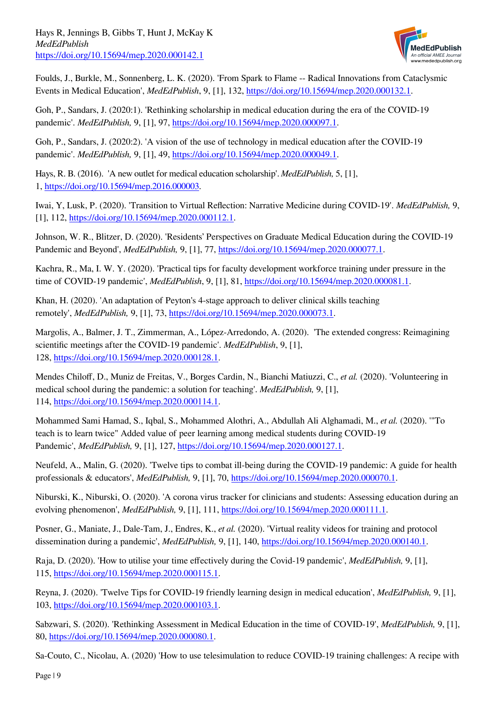

Foulds, J., Burkle, M., Sonnenberg, L. K. (2020). 'From Spark to Flame -- Radical Innovations from Cataclysmic Events in Medical Education', *MedEdPublish*, 9, [1], 132,<https://doi.org/10.15694/mep.2020.000132.1>.

Goh, P., Sandars, J. (2020:1). 'Rethinking scholarship in medical education during the era of the COVID-19 pandemic'. *MedEdPublish,* 9, [1], 97,<https://doi.org/10.15694/mep.2020.000097.1>.

Goh, P., Sandars, J. (2020:2). 'A vision of the use of technology in medical education after the COVID-19 pandemic'. *MedEdPublish,* 9, [1], 49,<https://doi.org/10.15694/mep.2020.000049.1>.

Hays, R. B. (2016). 'A new outlet for medical education scholarship'. *MedEdPublish,* 5, [1], 1, [https://doi.org/10.15694/mep.2016.000003.](https://doi.org/10.15694/mep.2016.000003)

Iwai, Y, Lusk, P. (2020). 'Transition to Virtual Reflection: Narrative Medicine during COVID-19'. *MedEdPublish,* 9, [1], 112, [https://doi.org/10.15694/mep.2020.000112.1.](https://doi.org/10.15694/mep.2020.000112.1)

Johnson, W. R., Blitzer, D. (2020). 'Residents' Perspectives on Graduate Medical Education during the COVID-19 Pandemic and Beyond', *MedEdPublish,* 9, [1], 77, [https://doi.org/10.15694/mep.2020.000077.1.](https://doi.org/10.15694/mep.2020.000077.1)

Kachra, R., Ma, I. W. Y. (2020). 'Practical tips for faculty development workforce training under pressure in the time of COVID-19 pandemic', *MedEdPublish*, 9, [1], 81,<https://doi.org/10.15694/mep.2020.000081.1>.

Khan, H. (2020). 'An adaptation of Peyton's 4-stage approach to deliver clinical skills teaching remotely', *MedEdPublish,* 9, [1], 73, [https://doi.org/10.15694/mep.2020.000073.1.](https://doi.org/10.15694/mep.2020.000073.1)

Margolis, A., Balmer, J. T., Zimmerman, A., López-Arredondo, A. (2020). 'The extended congress: Reimagining scientific meetings after the COVID-19 pandemic'. *MedEdPublish*, 9, [1], 128, [https://doi.org/10.15694/mep.2020.000128.1.](https://doi.org/10.15694/mep.2020.000128.1)

Mendes Chiloff, D., Muniz de Freitas, V., Borges Cardin, N., Bianchi Matiuzzi, C., *et al.* (2020). 'Volunteering in medical school during the pandemic: a solution for teaching'. *MedEdPublish,* 9, [1], 114, [https://doi.org/10.15694/mep.2020.000114.1.](https://doi.org/10.15694/mep.2020.000114.1)

Mohammed Sami Hamad, S., Iqbal, S., Mohammed Alothri, A., Abdullah Ali Alghamadi, M., *et al.* (2020). '"To teach is to learn twice" Added value of peer learning among medical students during COVID-19 Pandemic', *MedEdPublish,* 9, [1], 127, [https://doi.org/10.15694/mep.2020.000127.1.](https://doi.org/10.15694/mep.2020.000127.1)

Neufeld, A., Malin, G. (2020). 'Twelve tips to combat ill-being during the COVID-19 pandemic: A guide for health professionals & educators', *MedEdPublish,* 9, [1], 70, [https://doi.org/10.15694/mep.2020.000070.1.](https://doi.org/10.15694/mep.2020.000070.1)

Niburski, K., Niburski, O. (2020). 'A corona virus tracker for clinicians and students: Assessing education during an evolving phenomenon', *MedEdPublish,* 9, [1], 111,<https://doi.org/10.15694/mep.2020.000111.1>.

Posner, G., Maniate, J., Dale-Tam, J., Endres, K., *et al.* (2020). 'Virtual reality videos for training and protocol dissemination during a pandemic', *MedEdPublish,* 9, [1], 140,<https://doi.org/10.15694/mep.2020.000140.1>.

Raja, D. (2020). 'How to utilise your time effectively during the Covid-19 pandemic', *MedEdPublish,* 9, [1], 115, [https://doi.org/10.15694/mep.2020.000115.1.](https://doi.org/10.15694/mep.2020.000115.1)

Reyna, J. (2020). 'Twelve Tips for COVID-19 friendly learning design in medical education', *MedEdPublish,* 9, [1], 103, [https://doi.org/10.15694/mep.2020.000103.1.](https://doi.org/10.15694/mep.2020.000103.1)

Sabzwari, S. (2020). 'Rethinking Assessment in Medical Education in the time of COVID-19', *MedEdPublish,* 9, [1], 80,<https://doi.org/10.15694/mep.2020.000080.1>.

Sa-Couto, C., Nicolau, A. (2020) 'How to use telesimulation to reduce COVID-19 training challenges: A recipe with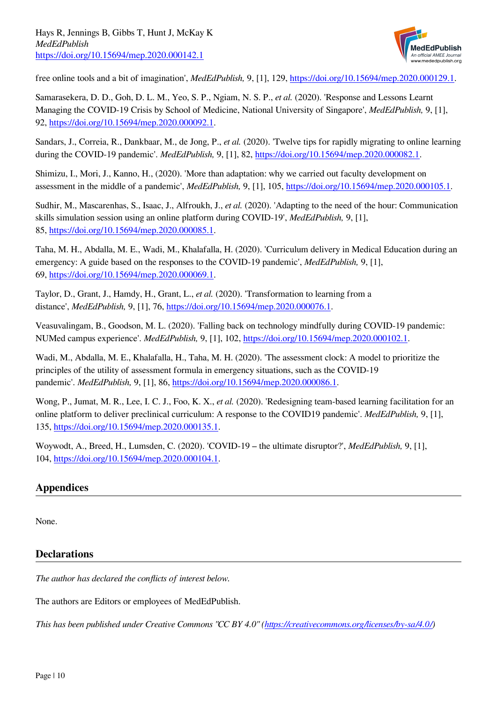

free online tools and a bit of imagination', *MedEdPublish,* 9, [1], 129,<https://doi.org/10.15694/mep.2020.000129.1>.

Samarasekera, D. D., Goh, D. L. M., Yeo, S. P., Ngiam, N. S. P., *et al.* (2020). 'Response and Lessons Learnt Managing the COVID-19 Crisis by School of Medicine, National University of Singapore', *MedEdPublish,* 9, [1], 92,<https://doi.org/10.15694/mep.2020.000092.1>.

Sandars, J., Correia, R., Dankbaar, M., de Jong, P., *et al.* (2020). 'Twelve tips for rapidly migrating to online learning during the COVID-19 pandemic'. *MedEdPublish,* 9, [1], 82, [https://doi.org/10.15694/mep.2020.000082.1.](https://doi.org/10.15694/mep.2020.000082.1)

Shimizu, I., Mori, J., Kanno, H., (2020). 'More than adaptation: why we carried out faculty development on assessment in the middle of a pandemic', *MedEdPublish,* 9, [1], 105, [https://doi.org/10.15694/mep.2020.000105.1.](https://doi.org/10.15694/mep.2020.000105.1)

Sudhir, M., Mascarenhas, S., Isaac, J., Alfroukh, J., *et al.* (2020). 'Adapting to the need of the hour: Communication skills simulation session using an online platform during COVID-19', *MedEdPublish,* 9, [1], 85,<https://doi.org/10.15694/mep.2020.000085.1>.

Taha, M. H., Abdalla, M. E., Wadi, M., Khalafalla, H. (2020). 'Curriculum delivery in Medical Education during an emergency: A guide based on the responses to the COVID-19 pandemic', *MedEdPublish,* 9, [1], 69,<https://doi.org/10.15694/mep.2020.000069.1>.

Taylor, D., Grant, J., Hamdy, H., Grant, L., *et al.* (2020). 'Transformation to learning from a distance', *MedEdPublish,* 9, [1], 76, [https://doi.org/10.15694/mep.2020.000076.1.](https://doi.org/10.15694/mep.2020.000076.1)

Veasuvalingam, B., Goodson, M. L. (2020). 'Falling back on technology mindfully during COVID-19 pandemic: NUMed campus experience'. *MedEdPublish,* 9, [1], 102,<https://doi.org/10.15694/mep.2020.000102.1>.

Wadi, M., Abdalla, M. E., Khalafalla, H., Taha, M. H. (2020). 'The assessment clock: A model to prioritize the principles of the utility of assessment formula in emergency situations, such as the COVID-19 pandemic'. *MedEdPublish,* 9, [1], 86,<https://doi.org/10.15694/mep.2020.000086.1>.

Wong, P., Jumat, M. R., Lee, I. C. J., Foo, K. X., *et al.* (2020). 'Redesigning team-based learning facilitation for an online platform to deliver preclinical curriculum: A response to the COVID19 pandemic'. *MedEdPublish,* 9, [1], 135, [https://doi.org/10.15694/mep.2020.000135.1.](https://doi.org/10.15694/mep.2020.000135.1)

Woywodt, A., Breed, H., Lumsden, C. (2020). 'COVID-19 – the ultimate disruptor?', *MedEdPublish,* 9, [1], 104, [https://doi.org/10.15694/mep.2020.000104.1.](https://doi.org/10.15694/mep.2020.000104.1)

#### **Appendices**

None.

#### **Declarations**

*The author has declared the conflicts of interest below.*

The authors are Editors or employees of MedEdPublish.

*This has been published under Creative Commons "CC BY 4.0" [\(https://creativecommons.org/licenses/by-sa/4.0/\)](https://creativecommons.org/licenses/by-sa/4.0/)*